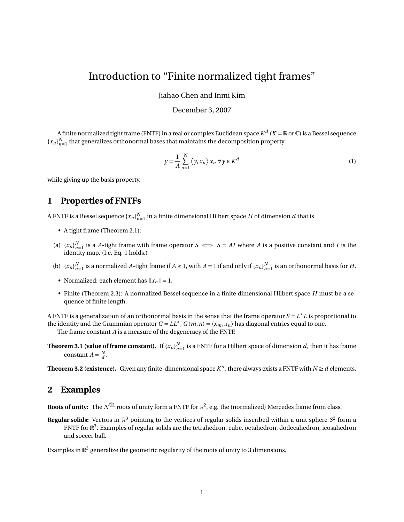# Introduction to "Finite normalized tight frames"

Jiahao Chen and Inmi Kim

#### December 3, 2007

A finite normalized tight frame (FNTF) in a real or complex Euclidean space  $K^d$  ( $K$  =  $\R$  or  $\mathbb C$ ) is a Bessel sequence  ${x_n}_{n=1}^N$  that generalizes orthonormal bases that maintains the decomposition property

$$
y = \frac{1}{A} \sum_{n=1}^{N} \langle y, x_n \rangle x_n \,\forall y \in K^d
$$
 (1)

while giving up the basis property.

# **1 Properties of FNTFs**

A FNTF is a Bessel sequence  $\{x_n\}_{n=1}^N$  in a finite dimensional Hilbert space  $H$  of dimension  $d$  that is

- A tight frame (Theorem 2.1):
- (a)  $\{x_n\}_{n=1}^N$  is a *A*-tight frame with frame operator  $S \iff S = AI$  where *A* is a positive constant and *I* is the identity map. (I.e. Eq. 1 holds.)
- (b)  $\{x_n\}_{n=1}^N$  is a normalized *A*-tight frame if  $A \ge 1$ , with  $A = 1$  if and only if  $\{x_n\}_{n=1}^N$  is an orthonormal basis for *H*.
- Normalized: each element has  $||x_n|| = 1$ .
- Finite (Theorem 2.3): A normalized Bessel sequence in a finite dimensional Hilbert space *H* must be a sequence of finite length.

A FNTF is a generalization of an orthonormal basis in the sense that the frame operator *S* = *L* <sup>∗</sup>*L* is proportional to the identity and the Grammian operator  $G = LL^*$ ,  $G(m, n) = \langle x_m, x_n \rangle$  has diagonal entries equal to one.

The frame constant *A* is a measure of the degeneracy of the FNTF.

**Theorem 3.1 (value of frame constant).** If  $\{x_n\}_{n=1}^N$  is a FNTF for a Hilbert space of dimension *d*, then it has frame constant  $A = \frac{N}{d}$ .

**Theorem 3.2 (existence).** Given any finite-dimensional space  $K^d$  , there always exists a FNTF with  $N \geq d$  elements.

### **2 Examples**

**Roots of unity:** The  $N^{\text{th}}$  roots of unity form a FNTF for  $\mathbb{R}^2$ , e.g. the (normalized) Mercedes frame from class.

**Regular solids:** Vectors in  $\mathbb{R}^3$  pointing to the vertices of regular solids inscribed within a unit sphere  $S^2$  form a FNTF for  $\mathbb{R}^3$ . Examples of regular solids are the tetrahedron, cube, octahedron, dodecahedron, icosahedron and soccer ball.

Examples in  $\mathbb{R}^3$  generalize the geometric regularity of the roots of unity to 3 dimensions.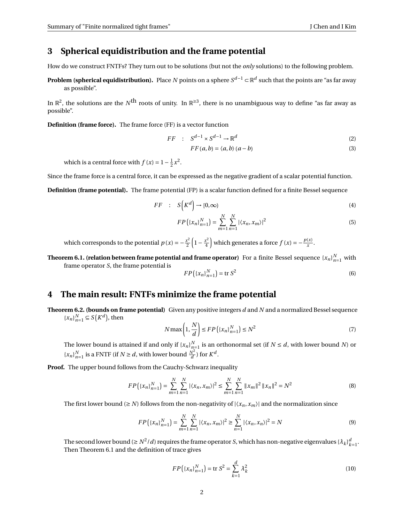#### **3 Spherical equidistribution and the frame potential**

How do we construct FNTFs? They turn out to be solutions (but not the *only* solutions) to the following problem.

**Problem (spherical equidistribution).** Place *N* points on a sphere *S <sup>d</sup>*−<sup>1</sup> ⊂ R *d* such that the points are "as far away as possible".

In  $\R^2$ , the solutions are the  $N^{\mbox{th}}$  roots of unity. In  $\R^{\geq 3}$ , there is no unambiguous way to define "as far away as possible".

**Definition (frame force).** The frame force (FF) is a vector function

$$
FF : S^{d-1} \times S^{d-1} \to \mathbb{R}^d
$$
 (2)

$$
FF(a,b) = \langle a,b \rangle (a-b)
$$
 (3)

which is a central force with  $f(x) = 1 - \frac{1}{2}x^2$ .

Since the frame force is a central force, it can be expressed as the negative gradient of a scalar potential function.

**Definition (frame potential).** The frame potential (FP) is a scalar function defined for a finite Bessel sequence

$$
FF : S(K^d) \to [0, \infty)
$$
 (4)

$$
FP(\lbrace x_n \rbrace_{n=1}^N) = \sum_{m=1}^N \sum_{n=1}^N |\langle x_n, x_m \rangle|^2
$$
\n(5)

which corresponds to the potential  $p(x) = -\frac{x^2}{2}$  $rac{x^2}{2} \left( 1 - \frac{x^2}{4} \right)$  $\left(\frac{x^2}{4}\right)$  which generates a force  $f(x) = -\frac{p(x)}{x}$  $\frac{f(x)}{x}$ .

**Theorem 6.1. (relation between frame potential and frame operator)** For a finite Bessel sequence  $\{x_n\}_{n=1}^N$  with frame operator *S*, the frame potential is

$$
FP(\lbrace x_n \rbrace_{n=1}^N) = \text{tr } S^2
$$
\n<sup>(6)</sup>

### **4 The main result: FNTFs minimize the frame potential**

**Theorem 6.2. (bounds on frame potential)** Given any positive integers *d* and *N* and a normalized Bessel sequence { $x_n$ } $_{n=1}^N$  ⊆ *S*( $K^d$ ), then

$$
N \max\left(1, \frac{N}{d}\right) \le FP\left(\left\{x_n\right\}_{n=1}^N\right) \le N^2\tag{7}
$$

The lower bound is attained if and only if  $\{x_n\}_{n=1}^N$  is an orthonormal set (if  $N \le d$ , with lower bound *N*) or  ${x_n}_{n=1}^N$  is a FNTF (if  $N \ge d$ , with lower bound  $\frac{N^2}{d}$  $\frac{\nabla^2}{d}$ ) for  $K^d$ .

**Proof.** The upper bound follows from the Cauchy-Schwarz inequality

$$
FP(\lbrace x_n \rbrace_{n=1}^N) = \sum_{m=1}^N \sum_{n=1}^N |\langle x_n, x_m \rangle|^2 \le \sum_{m=1}^N \sum_{n=1}^N \|x_m\|^2 \|x_n\|^2 = N^2
$$
 (8)

The first lower bound ( $\geq N$ ) follows from the non-negativity of  $|\langle x_n, x_m \rangle|$  and the normalization since

$$
FP(\lbrace x_n \rbrace_{n=1}^N) = \sum_{m=1}^N \sum_{n=1}^N |\langle x_n, x_m \rangle|^2 \ge \sum_{n=1}^N |\langle x_n, x_n \rangle|^2 = N
$$
\n(9)

The second lower bound ( $\geq N^2/d$ ) requires the frame operator *S*, which has non-negative eigenvalues  $\{\lambda_k\}_{k=1}^d$ . Then Theorem 6.1 and the definition of trace gives

$$
FP(\lbrace x_n \rbrace_{n=1}^N) = \text{tr } S^2 = \sum_{k=1}^d \lambda_k^2
$$
 (10)